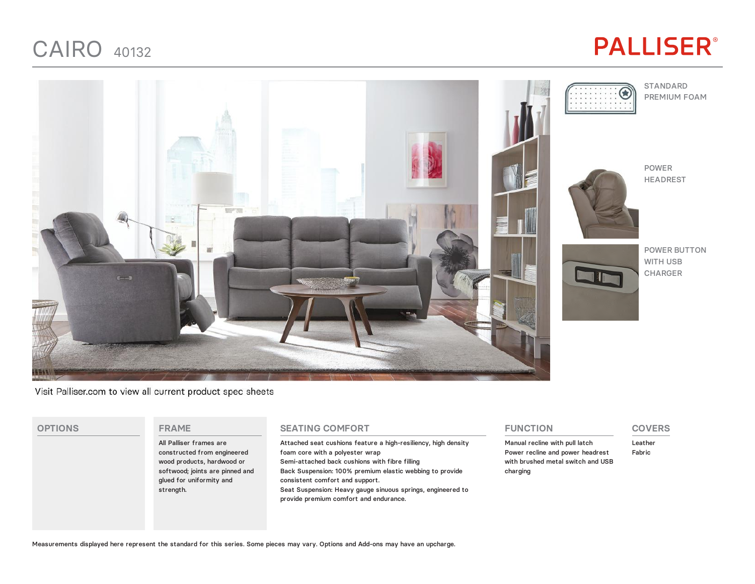### CAIRO <sup>40132</sup>

# **PALLISER®**



Visit Palliser.com to view all current product spec sheets

#### **OPTIONS FRAME**

All Palliser frames are constructed from engineered wood products, hardwood or softwood; joints are pinned and glued for uniformity and strength.

#### **SEATING COMFORT**

Attached seat cushions feature a high-resiliency, high density foam core with a polyester wrap Semi-attached back cushions with fibre filling Back Suspension: 100% premium elastic webbing to provide consistent comfort and support. Seat Suspension: Heavy gauge sinuous springs, engineered to provide premium comfort and endurance.

#### **FUNCTION**

Manual recline with pull latch Power recline and power headrest with brushed metal switch and USB charging

### **COVERS**

Leather Fabric

Measurements displayed here represent the standard for this series. Some pieces may vary. Options and Add-ons may have an upcharge.